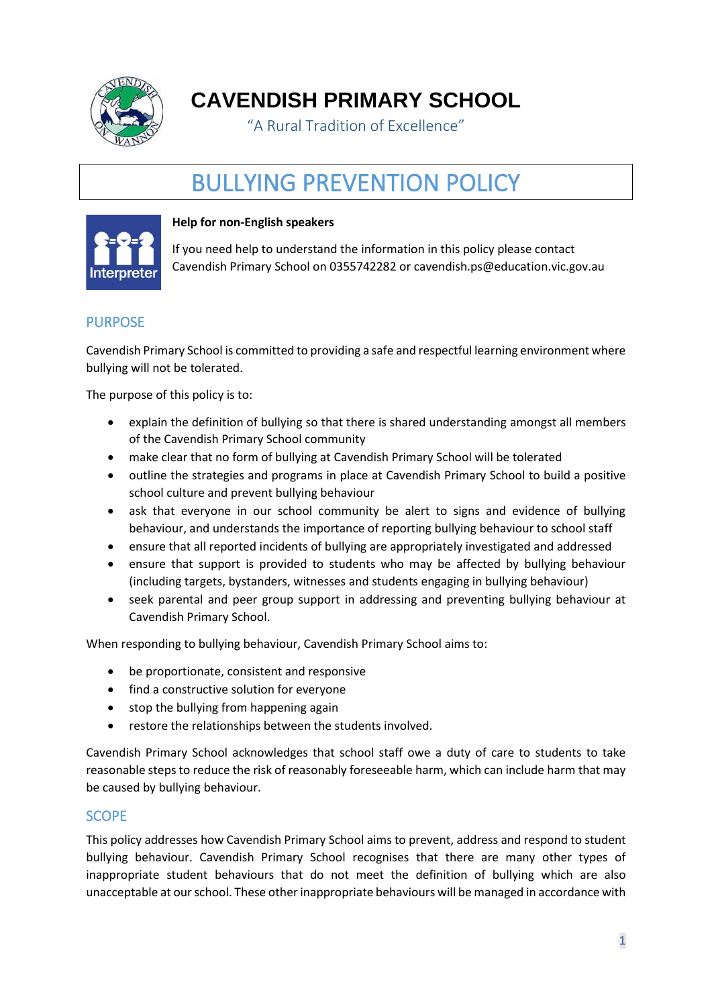

**CAVENDISH PRIMARY SCHOOL**

"A Rural Tradition of Excellence"

# BULLYING PREVENTION POLICY



#### **Help for non-English speakers**

If you need help to understand the information in this policy please contact Cavendish Primary School on 0355742282 or cavendish.ps@education.vic.gov.au

## PURPOSE

Cavendish Primary School is committed to providing a safe and respectful learning environment where bullying will not be tolerated.

The purpose of this policy is to:

- explain the definition of bullying so that there is shared understanding amongst all members of the Cavendish Primary School community
- make clear that no form of bullying at Cavendish Primary School will be tolerated
- outline the strategies and programs in place at Cavendish Primary School to build a positive school culture and prevent bullying behaviour
- ask that everyone in our school community be alert to signs and evidence of bullying behaviour, and understands the importance of reporting bullying behaviour to school staff
- ensure that all reported incidents of bullying are appropriately investigated and addressed
- ensure that support is provided to students who may be affected by bullying behaviour (including targets, bystanders, witnesses and students engaging in bullying behaviour)
- seek parental and peer group support in addressing and preventing bullying behaviour at Cavendish Primary School.

When responding to bullying behaviour, Cavendish Primary School aims to:

- be proportionate, consistent and responsive
- find a constructive solution for everyone
- stop the bullying from happening again
- restore the relationships between the students involved.

Cavendish Primary School acknowledges that school staff owe a duty of care to students to take reasonable steps to reduce the risk of reasonably foreseeable harm, which can include harm that may be caused by bullying behaviour.

## **SCOPE**

This policy addresses how Cavendish Primary School aims to prevent, address and respond to student bullying behaviour. Cavendish Primary School recognises that there are many other types of inappropriate student behaviours that do not meet the definition of bullying which are also unacceptable at our school. These other inappropriate behaviours will be managed in accordance with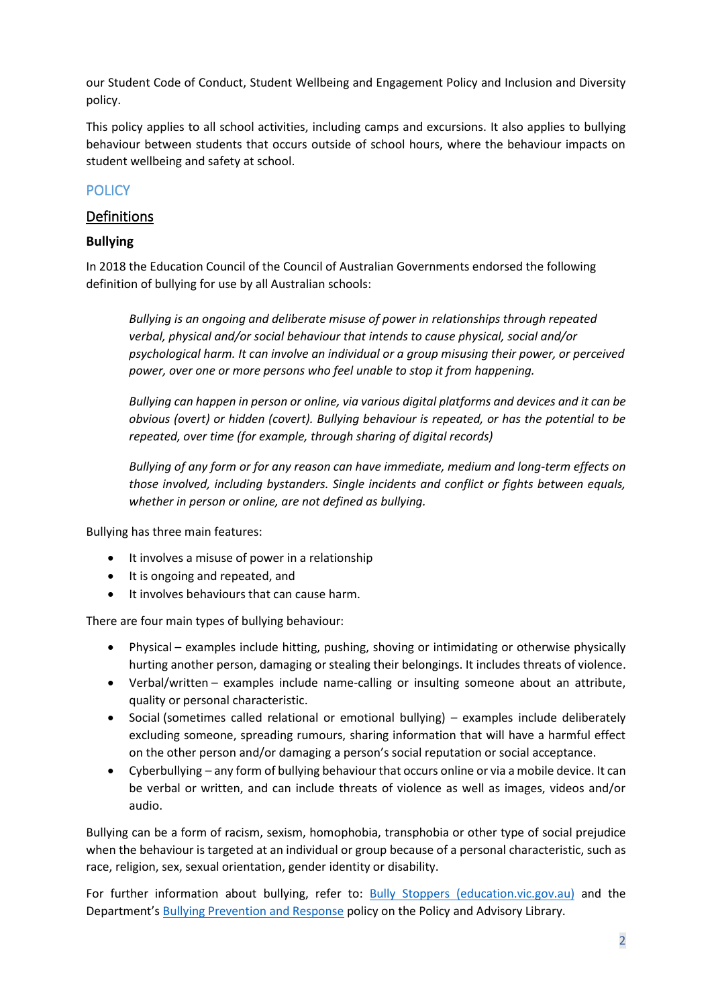our Student Code of Conduct, Student Wellbeing and Engagement Policy and Inclusion and Diversity policy.

This policy applies to all school activities, including camps and excursions. It also applies to bullying behaviour between students that occurs outside of school hours, where the behaviour impacts on student wellbeing and safety at school.

# **POLICY**

# Definitions

## **Bullying**

In 2018 the Education Council of the Council of Australian Governments endorsed the following definition of bullying for use by all Australian schools:

*Bullying is an ongoing and deliberate misuse of power in relationships through repeated verbal, physical and/or social behaviour that intends to cause physical, social and/or psychological harm. It can involve an individual or a group misusing their power, or perceived power, over one or more persons who feel unable to stop it from happening.*

*Bullying can happen in person or online, via various digital platforms and devices and it can be obvious (overt) or hidden (covert). Bullying behaviour is repeated, or has the potential to be repeated, over time (for example, through sharing of digital records)*

*Bullying of any form or for any reason can have immediate, medium and long-term effects on those involved, including bystanders. Single incidents and conflict or fights between equals, whether in person or online, are not defined as bullying.*

Bullying has three main features:

- It involves a misuse of power in a relationship
- It is ongoing and repeated, and
- It involves behaviours that can cause harm.

There are four main types of bullying behaviour:

- Physical examples include hitting, pushing, shoving or intimidating or otherwise physically hurting another person, damaging or stealing their belongings. It includes threats of violence.
- Verbal/written examples include name-calling or insulting someone about an attribute, quality or personal characteristic.
- Social (sometimes called relational or emotional bullying) examples include deliberately excluding someone, spreading rumours, sharing information that will have a harmful effect on the other person and/or damaging a person's social reputation or social acceptance.
- Cyberbullying any form of bullying behaviour that occurs online or via a mobile device. It can be verbal or written, and can include threats of violence as well as images, videos and/or audio.

Bullying can be a form of racism, sexism, homophobia, transphobia or other type of social prejudice when the behaviour is targeted at an individual or group because of a personal characteristic, such as race, religion, sex, sexual orientation, gender identity or disability.

For further information about bullying, refer to: **[Bully Stoppers \(education.vic.gov.au\)](https://www.education.vic.gov.au/about/programs/bullystoppers/Pages/default.aspx)** and the Department's [Bullying Prevention and Response](https://www2.education.vic.gov.au/pal/bullying-prevention-response/policy) policy on the Policy and Advisory Library.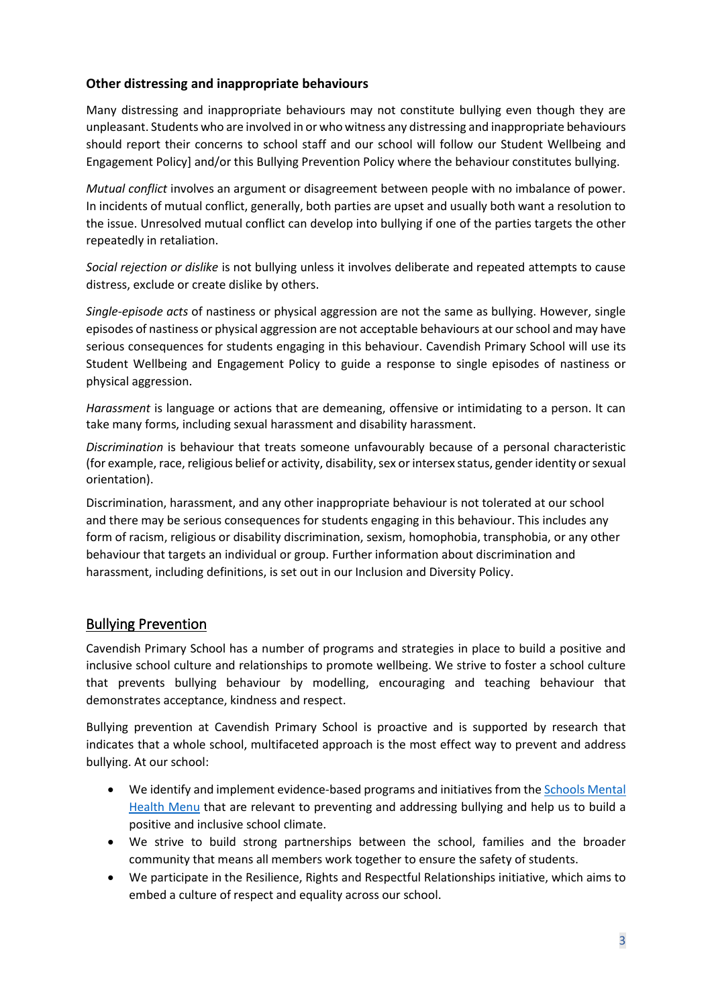#### **Other distressing and inappropriate behaviours**

Many distressing and inappropriate behaviours may not constitute bullying even though they are unpleasant. Students who are involved in or who witness any distressing and inappropriate behaviours should report their concerns to school staff and our school will follow our Student Wellbeing and Engagement Policy] and/or this Bullying Prevention Policy where the behaviour constitutes bullying.

*Mutual conflict* involves an argument or disagreement between people with no imbalance of power. In incidents of mutual conflict, generally, both parties are upset and usually both want a resolution to the issue. Unresolved mutual conflict can develop into bullying if one of the parties targets the other repeatedly in retaliation.

*Social rejection or dislike* is not bullying unless it involves deliberate and repeated attempts to cause distress, exclude or create dislike by others.

*Single-episode acts* of nastiness or physical aggression are not the same as bullying. However, single episodes of nastiness or physical aggression are not acceptable behaviours at our school and may have serious consequences for students engaging in this behaviour. Cavendish Primary School will use its Student Wellbeing and Engagement Policy to guide a response to single episodes of nastiness or physical aggression.

*Harassment* is language or actions that are demeaning, offensive or intimidating to a person. It can take many forms, including sexual harassment and disability harassment.

*Discrimination* is behaviour that treats someone unfavourably because of a personal characteristic (for example, race, religious belief or activity, disability, sex or intersex status, gender identity or sexual orientation).

Discrimination, harassment, and any other inappropriate behaviour is not tolerated at our school and there may be serious consequences for students engaging in this behaviour. This includes any form of racism, religious or disability discrimination, sexism, homophobia, transphobia, or any other behaviour that targets an individual or group. Further information about discrimination and harassment, including definitions, is set out in our Inclusion and Diversity Policy.

# Bullying Prevention

Cavendish Primary School has a number of programs and strategies in place to build a positive and inclusive school culture and relationships to promote wellbeing. We strive to foster a school culture that prevents bullying behaviour by modelling, encouraging and teaching behaviour that demonstrates acceptance, kindness and respect.

Bullying prevention at Cavendish Primary School is proactive and is supported by research that indicates that a whole school, multifaceted approach is the most effect way to prevent and address bullying. At our school:

- We identify and implement evidence-based programs and initiatives from th[e Schools Mental](https://www.education.vic.gov.au/school/teachers/health/mentalhealth/mental-health-menu/Pages/Menu.aspx?Redirect=1)  [Health Menu](https://www.education.vic.gov.au/school/teachers/health/mentalhealth/mental-health-menu/Pages/Menu.aspx?Redirect=1) that are relevant to preventing and addressing bullying and help us to build a positive and inclusive school climate.
- We strive to build strong partnerships between the school, families and the broader community that means all members work together to ensure the safety of students.
- We participate in the Resilience, Rights and Respectful Relationships initiative, which aims to embed a culture of respect and equality across our school.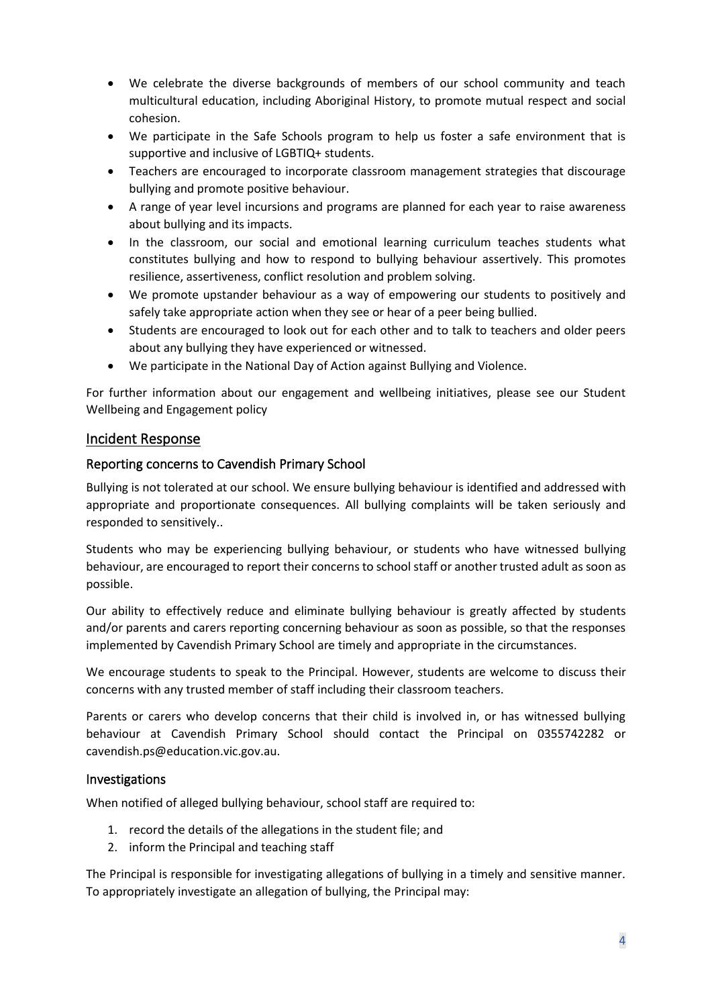- We celebrate the diverse backgrounds of members of our school community and teach multicultural education, including Aboriginal History, to promote mutual respect and social cohesion.
- We participate in the Safe Schools program to help us foster a safe environment that is supportive and inclusive of LGBTIQ+ students.
- Teachers are encouraged to incorporate classroom management strategies that discourage bullying and promote positive behaviour.
- A range of year level incursions and programs are planned for each year to raise awareness about bullying and its impacts.
- In the classroom, our social and emotional learning curriculum teaches students what constitutes bullying and how to respond to bullying behaviour assertively. This promotes resilience, assertiveness, conflict resolution and problem solving.
- We promote upstander behaviour as a way of empowering our students to positively and safely take appropriate action when they see or hear of a peer being bullied.
- Students are encouraged to look out for each other and to talk to teachers and older peers about any bullying they have experienced or witnessed.
- We participate in the National Day of Action against Bullying and Violence.

For further information about our engagement and wellbeing initiatives, please see our Student Wellbeing and Engagement policy

## Incident Response

#### Reporting concerns to Cavendish Primary School

Bullying is not tolerated at our school. We ensure bullying behaviour is identified and addressed with appropriate and proportionate consequences. All bullying complaints will be taken seriously and responded to sensitively..

Students who may be experiencing bullying behaviour, or students who have witnessed bullying behaviour, are encouraged to report their concerns to school staff or another trusted adult as soon as possible.

Our ability to effectively reduce and eliminate bullying behaviour is greatly affected by students and/or parents and carers reporting concerning behaviour as soon as possible, so that the responses implemented by Cavendish Primary School are timely and appropriate in the circumstances.

We encourage students to speak to the Principal. However, students are welcome to discuss their concerns with any trusted member of staff including their classroom teachers.

Parents or carers who develop concerns that their child is involved in, or has witnessed bullying behaviour at Cavendish Primary School should contact the Principal on 0355742282 or cavendish.ps@education.vic.gov.au.

#### Investigations

When notified of alleged bullying behaviour, school staff are required to:

- 1. record the details of the allegations in the student file; and
- 2. inform the Principal and teaching staff

The Principal is responsible for investigating allegations of bullying in a timely and sensitive manner. To appropriately investigate an allegation of bullying, the Principal may: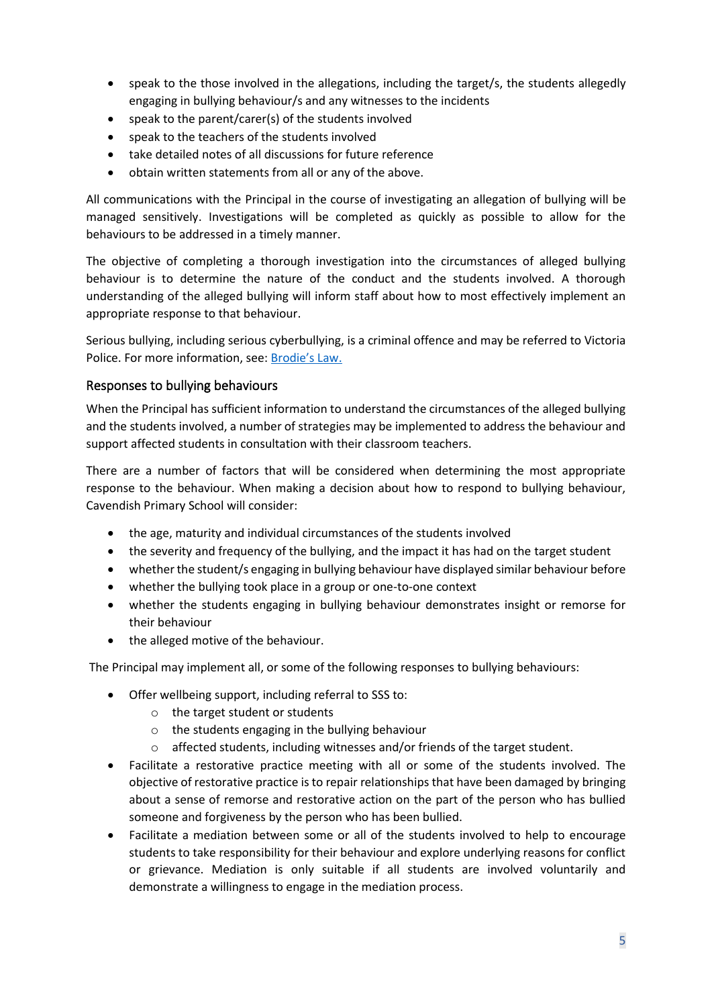- speak to the those involved in the allegations, including the target/s, the students allegedly engaging in bullying behaviour/s and any witnesses to the incidents
- speak to the parent/carer(s) of the students involved
- speak to the teachers of the students involved
- take detailed notes of all discussions for future reference
- obtain written statements from all or any of the above.

All communications with the Principal in the course of investigating an allegation of bullying will be managed sensitively. Investigations will be completed as quickly as possible to allow for the behaviours to be addressed in a timely manner.

The objective of completing a thorough investigation into the circumstances of alleged bullying behaviour is to determine the nature of the conduct and the students involved. A thorough understanding of the alleged bullying will inform staff about how to most effectively implement an appropriate response to that behaviour.

Serious bullying, including serious cyberbullying, is a criminal offence and may be referred to Victoria Police. For more information, see: [Brodie's Law.](http://www.education.vic.gov.au/about/programs/bullystoppers/Pages/advicesheetbrodieslaw.aspx)

#### Responses to bullying behaviours

When the Principal has sufficient information to understand the circumstances of the alleged bullying and the students involved, a number of strategies may be implemented to address the behaviour and support affected students in consultation with their classroom teachers.

There are a number of factors that will be considered when determining the most appropriate response to the behaviour. When making a decision about how to respond to bullying behaviour, Cavendish Primary School will consider:

- the age, maturity and individual circumstances of the students involved
- the severity and frequency of the bullying, and the impact it has had on the target student
- whether the student/s engaging in bullying behaviour have displayed similar behaviour before
- whether the bullying took place in a group or one-to-one context
- whether the students engaging in bullying behaviour demonstrates insight or remorse for their behaviour
- the alleged motive of the behaviour.

The Principal may implement all, or some of the following responses to bullying behaviours:

- Offer wellbeing support, including referral to SSS to:
	- o the target student or students
	- o the students engaging in the bullying behaviour
	- $\circ$  affected students, including witnesses and/or friends of the target student.
- Facilitate a restorative practice meeting with all or some of the students involved. The objective of restorative practice is to repair relationships that have been damaged by bringing about a sense of remorse and restorative action on the part of the person who has bullied someone and forgiveness by the person who has been bullied.
- Facilitate a mediation between some or all of the students involved to help to encourage students to take responsibility for their behaviour and explore underlying reasons for conflict or grievance. Mediation is only suitable if all students are involved voluntarily and demonstrate a willingness to engage in the mediation process.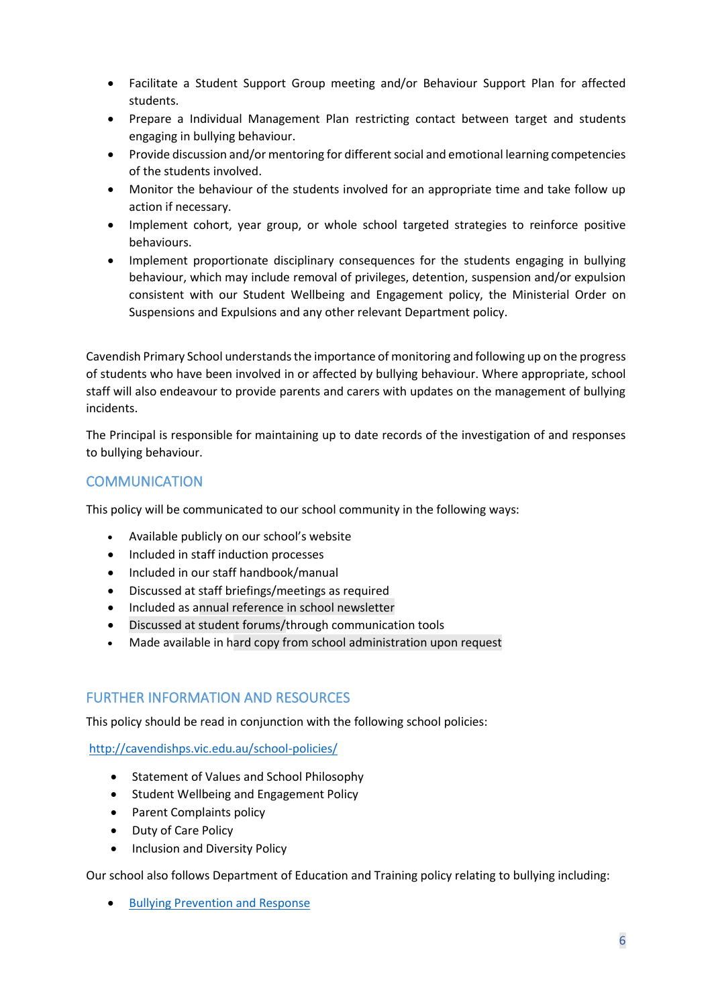- Facilitate a Student Support Group meeting and/or Behaviour Support Plan for affected students.
- Prepare a Individual Management Plan restricting contact between target and students engaging in bullying behaviour.
- Provide discussion and/or mentoring for different social and emotional learning competencies of the students involved.
- Monitor the behaviour of the students involved for an appropriate time and take follow up action if necessary.
- Implement cohort, year group, or whole school targeted strategies to reinforce positive behaviours.
- Implement proportionate disciplinary consequences for the students engaging in bullying behaviour, which may include removal of privileges, detention, suspension and/or expulsion consistent with our Student Wellbeing and Engagement policy, the Ministerial Order on Suspensions and Expulsions and any other relevant Department policy.

Cavendish Primary School understands the importance of monitoring and following up on the progress of students who have been involved in or affected by bullying behaviour. Where appropriate, school staff will also endeavour to provide parents and carers with updates on the management of bullying incidents.

The Principal is responsible for maintaining up to date records of the investigation of and responses to bullying behaviour.

## **COMMUNICATION**

This policy will be communicated to our school community in the following ways:

- Available publicly on our school's website
- Included in staff induction processes
- Included in our staff handbook/manual
- Discussed at staff briefings/meetings as required
- Included as annual reference in school newsletter
- Discussed at student forums/through communication tools
- Made available in hard copy from school administration upon request

#### FURTHER INFORMATION AND RESOURCES

This policy should be read in conjunction with the following school policies:

<http://cavendishps.vic.edu.au/school-policies/>

- Statement of Values and School Philosophy
- Student Wellbeing and Engagement Policy
- Parent Complaints policy
- Duty of Care Policy
- Inclusion and Diversity Policy

Our school also follows Department of Education and Training policy relating to bullying including:

• [Bullying Prevention and Response](https://www2.education.vic.gov.au/pal/bullying-prevention-response/policy)